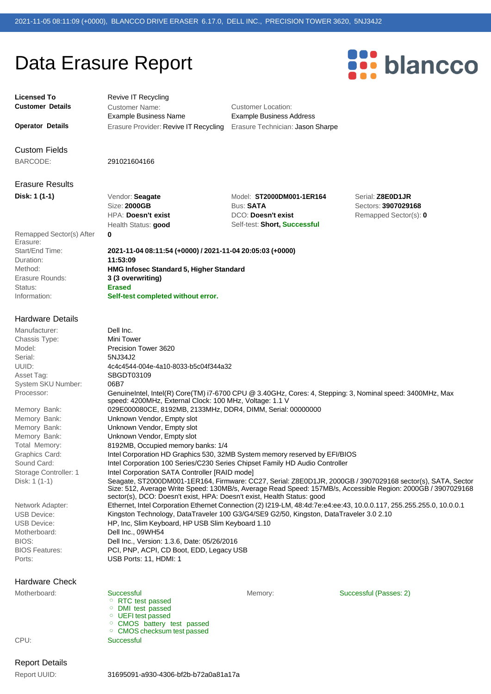**2021-11-04 08:11:54 (+0000) / 2021-11-04 20:05:03 (+0000)**

**HMG Infosec Standard 5, Higher Standard**

**Self-test completed without error.**

## Data Erasure Report



## **Licensed To Customer Details**

**Operator Details**

Revive IT Recycling

Customer Name: Example Business Name

Erasure Provider: Revive IT Recycling Erasure Technician: Jason Sharpe Customer Location: Example Business Address

Custom Fields

BARCODE: 291021604166

**0**

**11:53:09**

**Erased**

## Erasure Results **Disk: 1 (1-1)**

Vendor: **Seagate** Size: **2000GB** HPA: **Doesn't exist** Health Status: **good**

**3 (3 overwriting)**

Model: **ST2000DM001-1ER164** Bus: **SATA** DCO: **Doesn't exist** Self-test: **Short, Successful**

Serial: **Z8E0D1JR** Sectors: **3907029168** Remapped Sector(s): **0**

Remapped Sector(s) After Erasure: Start/End Time: Duration: Method: Erasure Rounds: Status: Information:

## Hardware Details

| Dell Inc.<br>Manufacturer:<br><b>Chassis Type:</b><br>Mini Tower<br>Model:<br>Precision Tower 3620<br>Serial:<br>5NJ34J2<br>UUID:<br>4c4c4544-004e-4a10-8033-b5c04f344a32<br>SBGDT03109<br>Asset Tag:<br>06B7<br>System SKU Number:<br>Processor:<br>GenuineIntel, Intel(R) Core(TM) i7-6700 CPU @ 3.40GHz, Cores: 4, Stepping: 3, Nominal speed: 3400MHz, Max<br>speed: 4200MHz, External Clock: 100 MHz, Voltage: 1.1 V<br>029E000080CE, 8192MB, 2133MHz, DDR4, DIMM, Serial: 00000000<br>Memory Bank:<br>Unknown Vendor, Empty slot<br>Memory Bank:<br>Memory Bank:<br>Unknown Vendor, Empty slot<br>Memory Bank:<br>Unknown Vendor, Empty slot<br>Total Memory:<br>8192MB, Occupied memory banks: 1/4<br>Graphics Card:<br>Intel Corporation HD Graphics 530, 32MB System memory reserved by EFI/BIOS<br>Sound Card:<br>Intel Corporation 100 Series/C230 Series Chipset Family HD Audio Controller<br>Intel Corporation SATA Controller [RAID mode]<br>Storage Controller: 1<br>Disk: 1 (1-1)<br>sector(s), DCO: Doesn't exist, HPA: Doesn't exist, Health Status: good<br>Ethernet, Intel Corporation Ethernet Connection (2) I219-LM, 48:4d:7e:e4:ee:43, 10.0.0.117, 255.255.255.0, 10.0.0.1<br>Network Adapter:<br>Kingston Technology, DataTraveler 100 G3/G4/SE9 G2/50, Kingston, DataTraveler 3.0 2.10<br><b>USB Device:</b><br>HP, Inc. Slim Keyboard, HP USB Slim Keyboard 1.10<br><b>USB Device:</b><br>Dell Inc., 09WH54<br>Motherboard:<br>BIOS:<br>Dell Inc., Version: 1.3.6, Date: 05/26/2016<br>PCI, PNP, ACPI, CD Boot, EDD, Legacy USB<br><b>BIOS Features:</b><br>USB Ports: 11. HDMI: 1<br>Ports: |                       |                                                                                                                                                                                                                            |
|--------------------------------------------------------------------------------------------------------------------------------------------------------------------------------------------------------------------------------------------------------------------------------------------------------------------------------------------------------------------------------------------------------------------------------------------------------------------------------------------------------------------------------------------------------------------------------------------------------------------------------------------------------------------------------------------------------------------------------------------------------------------------------------------------------------------------------------------------------------------------------------------------------------------------------------------------------------------------------------------------------------------------------------------------------------------------------------------------------------------------------------------------------------------------------------------------------------------------------------------------------------------------------------------------------------------------------------------------------------------------------------------------------------------------------------------------------------------------------------------------------------------------------------------------------------------------------------------------------------------------|-----------------------|----------------------------------------------------------------------------------------------------------------------------------------------------------------------------------------------------------------------------|
|                                                                                                                                                                                                                                                                                                                                                                                                                                                                                                                                                                                                                                                                                                                                                                                                                                                                                                                                                                                                                                                                                                                                                                                                                                                                                                                                                                                                                                                                                                                                                                                                                          |                       |                                                                                                                                                                                                                            |
|                                                                                                                                                                                                                                                                                                                                                                                                                                                                                                                                                                                                                                                                                                                                                                                                                                                                                                                                                                                                                                                                                                                                                                                                                                                                                                                                                                                                                                                                                                                                                                                                                          |                       |                                                                                                                                                                                                                            |
|                                                                                                                                                                                                                                                                                                                                                                                                                                                                                                                                                                                                                                                                                                                                                                                                                                                                                                                                                                                                                                                                                                                                                                                                                                                                                                                                                                                                                                                                                                                                                                                                                          |                       |                                                                                                                                                                                                                            |
|                                                                                                                                                                                                                                                                                                                                                                                                                                                                                                                                                                                                                                                                                                                                                                                                                                                                                                                                                                                                                                                                                                                                                                                                                                                                                                                                                                                                                                                                                                                                                                                                                          |                       |                                                                                                                                                                                                                            |
|                                                                                                                                                                                                                                                                                                                                                                                                                                                                                                                                                                                                                                                                                                                                                                                                                                                                                                                                                                                                                                                                                                                                                                                                                                                                                                                                                                                                                                                                                                                                                                                                                          |                       |                                                                                                                                                                                                                            |
|                                                                                                                                                                                                                                                                                                                                                                                                                                                                                                                                                                                                                                                                                                                                                                                                                                                                                                                                                                                                                                                                                                                                                                                                                                                                                                                                                                                                                                                                                                                                                                                                                          |                       |                                                                                                                                                                                                                            |
|                                                                                                                                                                                                                                                                                                                                                                                                                                                                                                                                                                                                                                                                                                                                                                                                                                                                                                                                                                                                                                                                                                                                                                                                                                                                                                                                                                                                                                                                                                                                                                                                                          |                       |                                                                                                                                                                                                                            |
|                                                                                                                                                                                                                                                                                                                                                                                                                                                                                                                                                                                                                                                                                                                                                                                                                                                                                                                                                                                                                                                                                                                                                                                                                                                                                                                                                                                                                                                                                                                                                                                                                          |                       |                                                                                                                                                                                                                            |
|                                                                                                                                                                                                                                                                                                                                                                                                                                                                                                                                                                                                                                                                                                                                                                                                                                                                                                                                                                                                                                                                                                                                                                                                                                                                                                                                                                                                                                                                                                                                                                                                                          |                       |                                                                                                                                                                                                                            |
|                                                                                                                                                                                                                                                                                                                                                                                                                                                                                                                                                                                                                                                                                                                                                                                                                                                                                                                                                                                                                                                                                                                                                                                                                                                                                                                                                                                                                                                                                                                                                                                                                          |                       |                                                                                                                                                                                                                            |
|                                                                                                                                                                                                                                                                                                                                                                                                                                                                                                                                                                                                                                                                                                                                                                                                                                                                                                                                                                                                                                                                                                                                                                                                                                                                                                                                                                                                                                                                                                                                                                                                                          |                       |                                                                                                                                                                                                                            |
|                                                                                                                                                                                                                                                                                                                                                                                                                                                                                                                                                                                                                                                                                                                                                                                                                                                                                                                                                                                                                                                                                                                                                                                                                                                                                                                                                                                                                                                                                                                                                                                                                          |                       |                                                                                                                                                                                                                            |
|                                                                                                                                                                                                                                                                                                                                                                                                                                                                                                                                                                                                                                                                                                                                                                                                                                                                                                                                                                                                                                                                                                                                                                                                                                                                                                                                                                                                                                                                                                                                                                                                                          |                       |                                                                                                                                                                                                                            |
|                                                                                                                                                                                                                                                                                                                                                                                                                                                                                                                                                                                                                                                                                                                                                                                                                                                                                                                                                                                                                                                                                                                                                                                                                                                                                                                                                                                                                                                                                                                                                                                                                          |                       |                                                                                                                                                                                                                            |
|                                                                                                                                                                                                                                                                                                                                                                                                                                                                                                                                                                                                                                                                                                                                                                                                                                                                                                                                                                                                                                                                                                                                                                                                                                                                                                                                                                                                                                                                                                                                                                                                                          |                       |                                                                                                                                                                                                                            |
|                                                                                                                                                                                                                                                                                                                                                                                                                                                                                                                                                                                                                                                                                                                                                                                                                                                                                                                                                                                                                                                                                                                                                                                                                                                                                                                                                                                                                                                                                                                                                                                                                          |                       |                                                                                                                                                                                                                            |
|                                                                                                                                                                                                                                                                                                                                                                                                                                                                                                                                                                                                                                                                                                                                                                                                                                                                                                                                                                                                                                                                                                                                                                                                                                                                                                                                                                                                                                                                                                                                                                                                                          |                       | Seagate, ST2000DM001-1ER164, Firmware: CC27, Serial: Z8E0D1JR, 2000GB / 3907029168 sector(s), SATA, Sector<br>Size: 512, Average Write Speed: 130MB/s, Average Read Speed: 157MB/s, Accessible Region: 2000GB / 3907029168 |
|                                                                                                                                                                                                                                                                                                                                                                                                                                                                                                                                                                                                                                                                                                                                                                                                                                                                                                                                                                                                                                                                                                                                                                                                                                                                                                                                                                                                                                                                                                                                                                                                                          |                       |                                                                                                                                                                                                                            |
|                                                                                                                                                                                                                                                                                                                                                                                                                                                                                                                                                                                                                                                                                                                                                                                                                                                                                                                                                                                                                                                                                                                                                                                                                                                                                                                                                                                                                                                                                                                                                                                                                          |                       |                                                                                                                                                                                                                            |
|                                                                                                                                                                                                                                                                                                                                                                                                                                                                                                                                                                                                                                                                                                                                                                                                                                                                                                                                                                                                                                                                                                                                                                                                                                                                                                                                                                                                                                                                                                                                                                                                                          |                       |                                                                                                                                                                                                                            |
|                                                                                                                                                                                                                                                                                                                                                                                                                                                                                                                                                                                                                                                                                                                                                                                                                                                                                                                                                                                                                                                                                                                                                                                                                                                                                                                                                                                                                                                                                                                                                                                                                          |                       |                                                                                                                                                                                                                            |
|                                                                                                                                                                                                                                                                                                                                                                                                                                                                                                                                                                                                                                                                                                                                                                                                                                                                                                                                                                                                                                                                                                                                                                                                                                                                                                                                                                                                                                                                                                                                                                                                                          |                       |                                                                                                                                                                                                                            |
|                                                                                                                                                                                                                                                                                                                                                                                                                                                                                                                                                                                                                                                                                                                                                                                                                                                                                                                                                                                                                                                                                                                                                                                                                                                                                                                                                                                                                                                                                                                                                                                                                          |                       |                                                                                                                                                                                                                            |
|                                                                                                                                                                                                                                                                                                                                                                                                                                                                                                                                                                                                                                                                                                                                                                                                                                                                                                                                                                                                                                                                                                                                                                                                                                                                                                                                                                                                                                                                                                                                                                                                                          |                       |                                                                                                                                                                                                                            |
|                                                                                                                                                                                                                                                                                                                                                                                                                                                                                                                                                                                                                                                                                                                                                                                                                                                                                                                                                                                                                                                                                                                                                                                                                                                                                                                                                                                                                                                                                                                                                                                                                          | <b>Hardware Check</b> |                                                                                                                                                                                                                            |

Motherboard: CPU: Successful RTC test passed DMI test passed UEFI test passed o CMOS battery test passed CMOS checksum test passed **Successful** Memory: Successful (Passes: 2)

Report Details